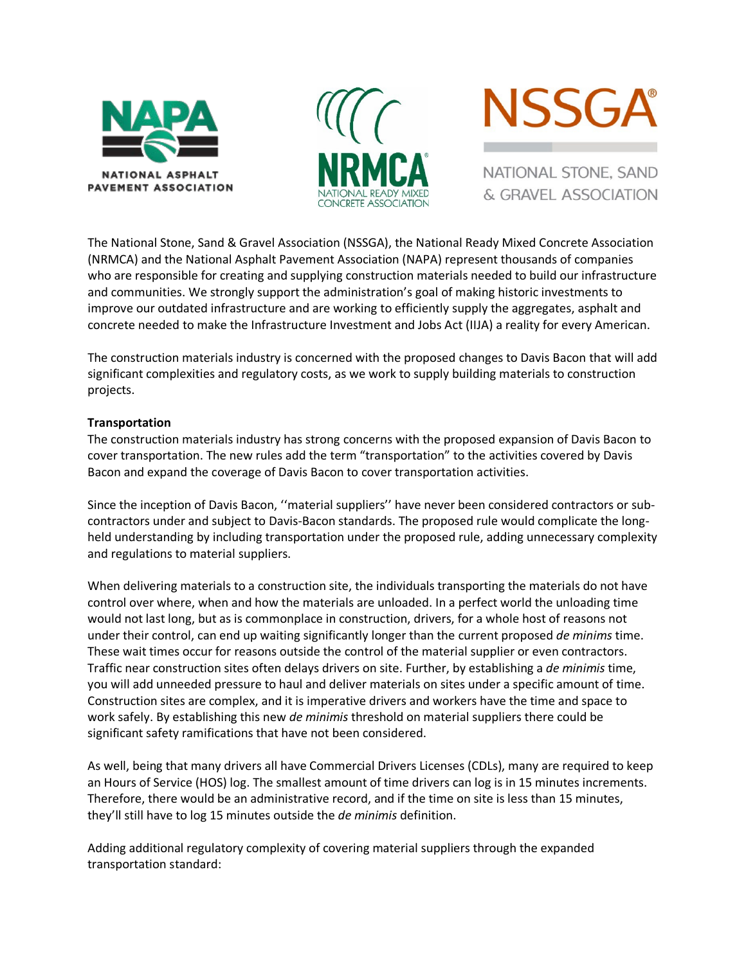





NATIONAL STONE, SAND & GRAVEL ASSOCIATION

The National Stone, Sand & Gravel Association (NSSGA), the National Ready Mixed Concrete Association (NRMCA) and the National Asphalt Pavement Association (NAPA) represent thousands of companies who are responsible for creating and supplying construction materials needed to build our infrastructure and communities. We strongly support the administration's goal of making historic investments to improve our outdated infrastructure and are working to efficiently supply the aggregates, asphalt and concrete needed to make the Infrastructure Investment and Jobs Act (IIJA) a reality for every American.

The construction materials industry is concerned with the proposed changes to Davis Bacon that will add significant complexities and regulatory costs, as we work to supply building materials to construction projects.

## **Transportation**

The construction materials industry has strong concerns with the proposed expansion of Davis Bacon to cover transportation. The new rules add the term "transportation" to the activities covered by Davis Bacon and expand the coverage of Davis Bacon to cover transportation activities.

Since the inception of Davis Bacon, ''material suppliers'' have never been considered contractors or subcontractors under and subject to Davis-Bacon standards. The proposed rule would complicate the longheld understanding by including transportation under the proposed rule, adding unnecessary complexity and regulations to material suppliers.

When delivering materials to a construction site, the individuals transporting the materials do not have control over where, when and how the materials are unloaded. In a perfect world the unloading time would not last long, but as is commonplace in construction, drivers, for a whole host of reasons not under their control, can end up waiting significantly longer than the current proposed *de minims* time. These wait times occur for reasons outside the control of the material supplier or even contractors. Traffic near construction sites often delays drivers on site. Further, by establishing a *de minimis* time, you will add unneeded pressure to haul and deliver materials on sites under a specific amount of time. Construction sites are complex, and it is imperative drivers and workers have the time and space to work safely. By establishing this new *de minimis* threshold on material suppliers there could be significant safety ramifications that have not been considered.

As well, being that many drivers all have Commercial Drivers Licenses (CDLs), many are required to keep an Hours of Service (HOS) log. The smallest amount of time drivers can log is in 15 minutes increments. Therefore, there would be an administrative record, and if the time on site is less than 15 minutes, they'll still have to log 15 minutes outside the *de minimis* definition.

Adding additional regulatory complexity of covering material suppliers through the expanded transportation standard: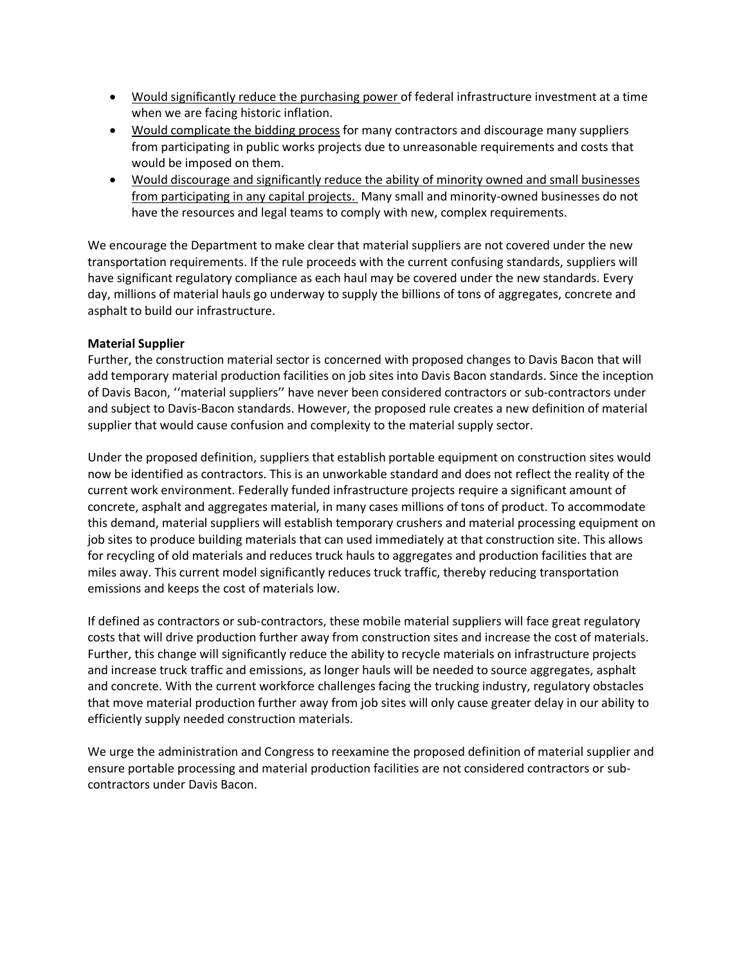- Would significantly reduce the purchasing power of federal infrastructure investment at a time when we are facing historic inflation.
- Would complicate the bidding process for many contractors and discourage many suppliers from participating in public works projects due to unreasonable requirements and costs that would be imposed on them.
- Would discourage and significantly reduce the ability of minority owned and small businesses from participating in any capital projects. Many small and minority-owned businesses do not have the resources and legal teams to comply with new, complex requirements.

We encourage the Department to make clear that material suppliers are not covered under the new transportation requirements. If the rule proceeds with the current confusing standards, suppliers will have significant regulatory compliance as each haul may be covered under the new standards. Every day, millions of material hauls go underway to supply the billions of tons of aggregates, concrete and asphalt to build our infrastructure.

## **Material Supplier**

Further, the construction material sector is concerned with proposed changes to Davis Bacon that will add temporary material production facilities on job sites into Davis Bacon standards. Since the inception of Davis Bacon, ''material suppliers'' have never been considered contractors or sub-contractors under and subject to Davis-Bacon standards. However, the proposed rule creates a new definition of material supplier that would cause confusion and complexity to the material supply sector.

Under the proposed definition, suppliers that establish portable equipment on construction sites would now be identified as contractors. This is an unworkable standard and does not reflect the reality of the current work environment. Federally funded infrastructure projects require a significant amount of concrete, asphalt and aggregates material, in many cases millions of tons of product. To accommodate this demand, material suppliers will establish temporary crushers and material processing equipment on job sites to produce building materials that can used immediately at that construction site. This allows for recycling of old materials and reduces truck hauls to aggregates and production facilities that are miles away. This current model significantly reduces truck traffic, thereby reducing transportation emissions and keeps the cost of materials low.

If defined as contractors or sub-contractors, these mobile material suppliers will face great regulatory costs that will drive production further away from construction sites and increase the cost of materials. Further, this change will significantly reduce the ability to recycle materials on infrastructure projects and increase truck traffic and emissions, as longer hauls will be needed to source aggregates, asphalt and concrete. With the current workforce challenges facing the trucking industry, regulatory obstacles that move material production further away from job sites will only cause greater delay in our ability to efficiently supply needed construction materials.

We urge the administration and Congress to reexamine the proposed definition of material supplier and ensure portable processing and material production facilities are not considered contractors or subcontractors under Davis Bacon.